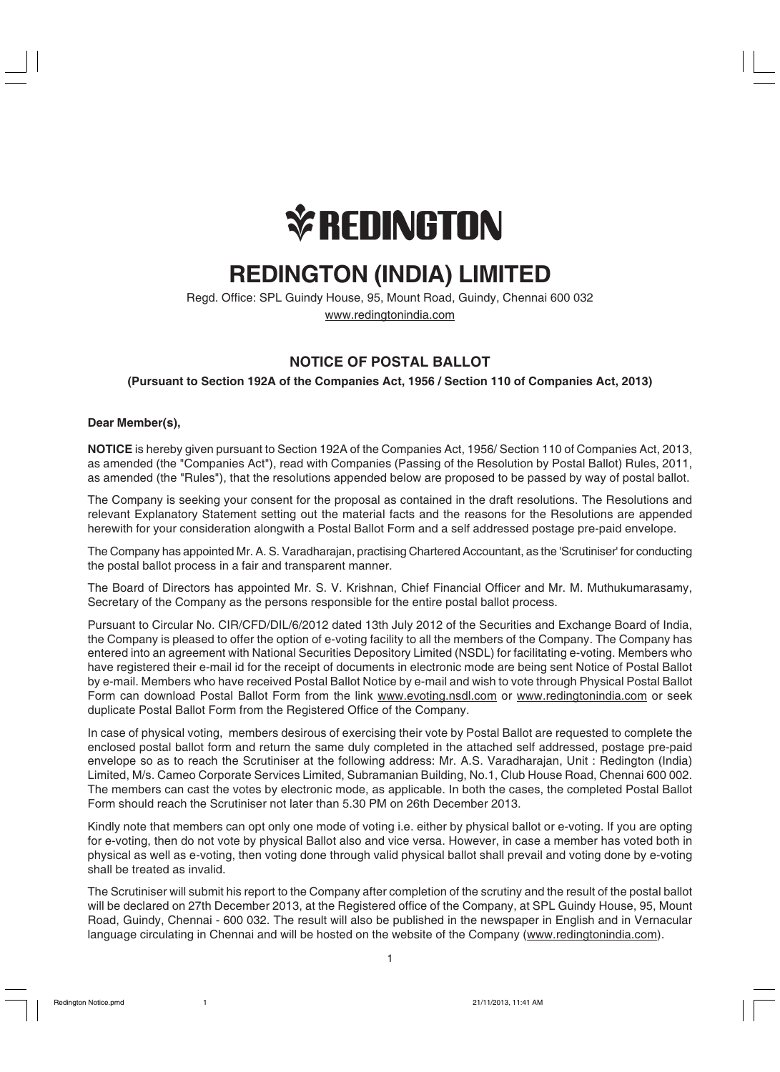

# **REDINGTON (INDIA) LIMITED**

Regd. Office: SPL Guindy House, 95, Mount Road, Guindy, Chennai 600 032 www.redingtonindia.com

# **NOTICE OF POSTAL BALLOT**

# **(Pursuant to Section 192A of the Companies Act, 1956 / Section 110 of Companies Act, 2013)**

# **Dear Member(s),**

**NOTICE** is hereby given pursuant to Section 192A of the Companies Act, 1956/ Section 110 of Companies Act, 2013, as amended (the "Companies Act"), read with Companies (Passing of the Resolution by Postal Ballot) Rules, 2011, as amended (the "Rules"), that the resolutions appended below are proposed to be passed by way of postal ballot.

The Company is seeking your consent for the proposal as contained in the draft resolutions. The Resolutions and relevant Explanatory Statement setting out the material facts and the reasons for the Resolutions are appended herewith for your consideration alongwith a Postal Ballot Form and a self addressed postage pre-paid envelope.

The Company has appointed Mr. A. S. Varadharajan, practising Chartered Accountant, as the 'Scrutiniser' for conducting the postal ballot process in a fair and transparent manner.

The Board of Directors has appointed Mr. S. V. Krishnan, Chief Financial Officer and Mr. M. Muthukumarasamy, Secretary of the Company as the persons responsible for the entire postal ballot process.

Pursuant to Circular No. CIR/CFD/DIL/6/2012 dated 13th July 2012 of the Securities and Exchange Board of India, the Company is pleased to offer the option of e-voting facility to all the members of the Company. The Company has entered into an agreement with National Securities Depository Limited (NSDL) for facilitating e-voting. Members who have registered their e-mail id for the receipt of documents in electronic mode are being sent Notice of Postal Ballot by e-mail. Members who have received Postal Ballot Notice by e-mail and wish to vote through Physical Postal Ballot Form can download Postal Ballot Form from the link www.evoting.nsdl.com or www.redingtonindia.com or seek duplicate Postal Ballot Form from the Registered Office of the Company.

In case of physical voting, members desirous of exercising their vote by Postal Ballot are requested to complete the enclosed postal ballot form and return the same duly completed in the attached self addressed, postage pre-paid envelope so as to reach the Scrutiniser at the following address: Mr. A.S. Varadharajan, Unit : Redington (India) Limited, M/s. Cameo Corporate Services Limited, Subramanian Building, No.1, Club House Road, Chennai 600 002. The members can cast the votes by electronic mode, as applicable. In both the cases, the completed Postal Ballot Form should reach the Scrutiniser not later than 5.30 PM on 26th December 2013.

Kindly note that members can opt only one mode of voting i.e. either by physical ballot or e-voting. If you are opting for e-voting, then do not vote by physical Ballot also and vice versa. However, in case a member has voted both in physical as well as e-voting, then voting done through valid physical ballot shall prevail and voting done by e-voting shall be treated as invalid.

The Scrutiniser will submit his report to the Company after completion of the scrutiny and the result of the postal ballot will be declared on 27th December 2013, at the Registered office of the Company, at SPL Guindy House, 95, Mount Road, Guindy, Chennai - 600 032. The result will also be published in the newspaper in English and in Vernacular language circulating in Chennai and will be hosted on the website of the Company (www.redingtonindia.com).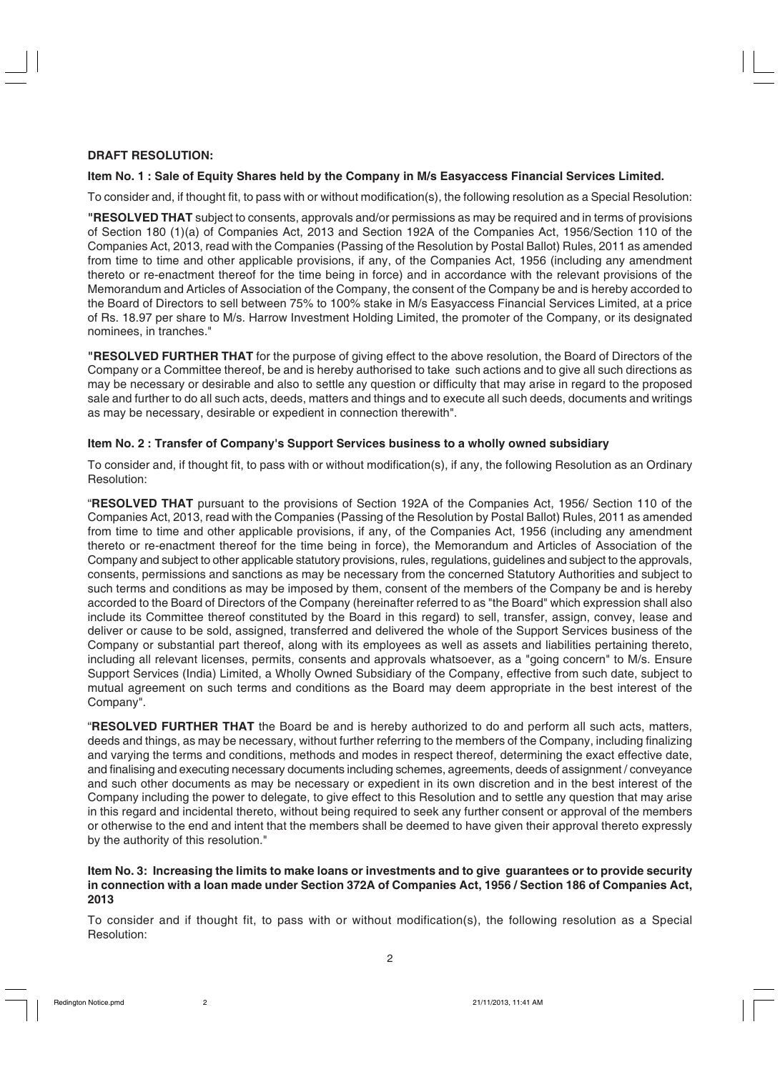# **DRAFT RESOLUTION:**

#### **Item No. 1 : Sale of Equity Shares held by the Company in M/s Easyaccess Financial Services Limited.**

To consider and, if thought fit, to pass with or without modification(s), the following resolution as a Special Resolution:

**"RESOLVED THAT** subject to consents, approvals and/or permissions as may be required and in terms of provisions of Section 180 (1)(a) of Companies Act, 2013 and Section 192A of the Companies Act, 1956/Section 110 of the Companies Act, 2013, read with the Companies (Passing of the Resolution by Postal Ballot) Rules, 2011 as amended from time to time and other applicable provisions, if any, of the Companies Act, 1956 (including any amendment thereto or re-enactment thereof for the time being in force) and in accordance with the relevant provisions of the Memorandum and Articles of Association of the Company, the consent of the Company be and is hereby accorded to the Board of Directors to sell between 75% to 100% stake in M/s Easyaccess Financial Services Limited, at a price of Rs. 18.97 per share to M/s. Harrow Investment Holding Limited, the promoter of the Company, or its designated nominees, in tranches."

**"RESOLVED FURTHER THAT** for the purpose of giving effect to the above resolution, the Board of Directors of the Company or a Committee thereof, be and is hereby authorised to take such actions and to give all such directions as may be necessary or desirable and also to settle any question or difficulty that may arise in regard to the proposed sale and further to do all such acts, deeds, matters and things and to execute all such deeds, documents and writings as may be necessary, desirable or expedient in connection therewith".

#### **Item No. 2 : Transfer of Company's Support Services business to a wholly owned subsidiary**

To consider and, if thought fit, to pass with or without modification(s), if any, the following Resolution as an Ordinary Resolution:

"**RESOLVED THAT** pursuant to the provisions of Section 192A of the Companies Act, 1956/ Section 110 of the Companies Act, 2013, read with the Companies (Passing of the Resolution by Postal Ballot) Rules, 2011 as amended from time to time and other applicable provisions, if any, of the Companies Act, 1956 (including any amendment thereto or re-enactment thereof for the time being in force), the Memorandum and Articles of Association of the Company and subject to other applicable statutory provisions, rules, regulations, guidelines and subject to the approvals, consents, permissions and sanctions as may be necessary from the concerned Statutory Authorities and subject to such terms and conditions as may be imposed by them, consent of the members of the Company be and is hereby accorded to the Board of Directors of the Company (hereinafter referred to as "the Board" which expression shall also include its Committee thereof constituted by the Board in this regard) to sell, transfer, assign, convey, lease and deliver or cause to be sold, assigned, transferred and delivered the whole of the Support Services business of the Company or substantial part thereof, along with its employees as well as assets and liabilities pertaining thereto, including all relevant licenses, permits, consents and approvals whatsoever, as a "going concern" to M/s. Ensure Support Services (India) Limited, a Wholly Owned Subsidiary of the Company, effective from such date, subject to mutual agreement on such terms and conditions as the Board may deem appropriate in the best interest of the Company".

"**RESOLVED FURTHER THAT** the Board be and is hereby authorized to do and perform all such acts, matters, deeds and things, as may be necessary, without further referring to the members of the Company, including finalizing and varying the terms and conditions, methods and modes in respect thereof, determining the exact effective date, and finalising and executing necessary documents including schemes, agreements, deeds of assignment / conveyance and such other documents as may be necessary or expedient in its own discretion and in the best interest of the Company including the power to delegate, to give effect to this Resolution and to settle any question that may arise in this regard and incidental thereto, without being required to seek any further consent or approval of the members or otherwise to the end and intent that the members shall be deemed to have given their approval thereto expressly by the authority of this resolution."

#### **Item No. 3: Increasing the limits to make loans or investments and to give guarantees or to provide security in connection with a loan made under Section 372A of Companies Act, 1956 / Section 186 of Companies Act, 2013**

To consider and if thought fit, to pass with or without modification(s), the following resolution as a Special Resolution: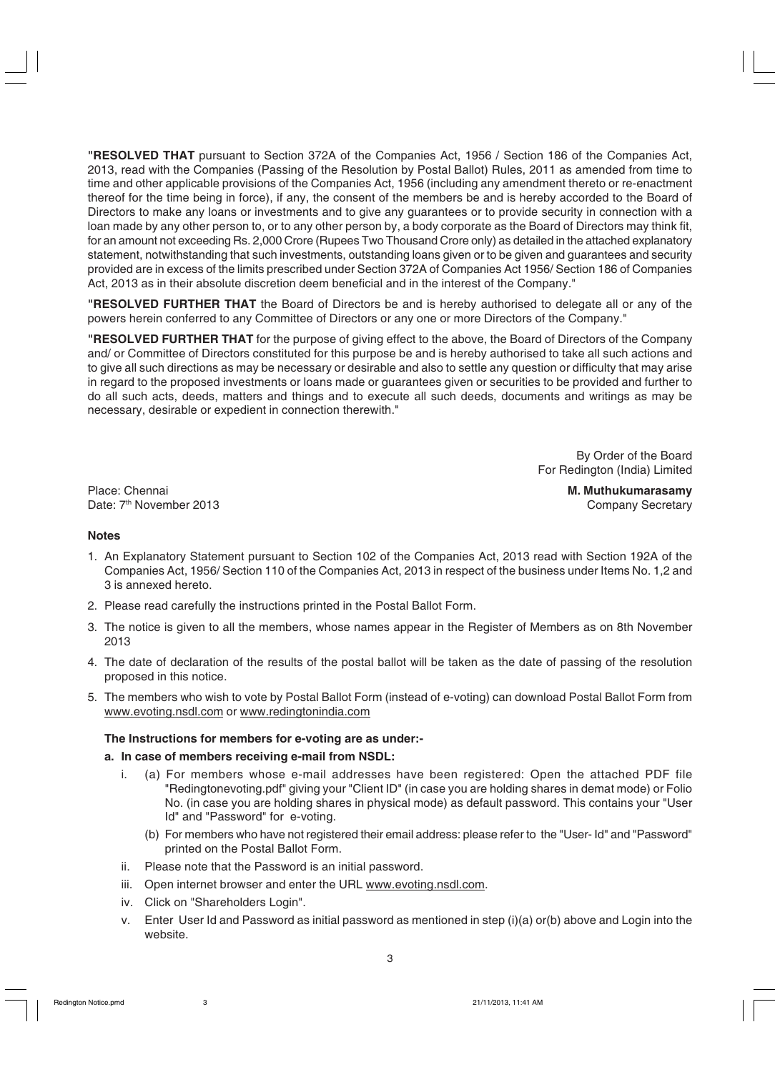**"RESOLVED THAT** pursuant to Section 372A of the Companies Act, 1956 / Section 186 of the Companies Act, 2013, read with the Companies (Passing of the Resolution by Postal Ballot) Rules, 2011 as amended from time to time and other applicable provisions of the Companies Act, 1956 (including any amendment thereto or re-enactment thereof for the time being in force), if any, the consent of the members be and is hereby accorded to the Board of Directors to make any loans or investments and to give any guarantees or to provide security in connection with a loan made by any other person to, or to any other person by, a body corporate as the Board of Directors may think fit, for an amount not exceeding Rs. 2,000 Crore (Rupees Two Thousand Crore only) as detailed in the attached explanatory statement, notwithstanding that such investments, outstanding loans given or to be given and guarantees and security provided are in excess of the limits prescribed under Section 372A of Companies Act 1956/ Section 186 of Companies Act, 2013 as in their absolute discretion deem beneficial and in the interest of the Company."

**"RESOLVED FURTHER THAT** the Board of Directors be and is hereby authorised to delegate all or any of the powers herein conferred to any Committee of Directors or any one or more Directors of the Company."

**"RESOLVED FURTHER THAT** for the purpose of giving effect to the above, the Board of Directors of the Company and/ or Committee of Directors constituted for this purpose be and is hereby authorised to take all such actions and to give all such directions as may be necessary or desirable and also to settle any question or difficulty that may arise in regard to the proposed investments or loans made or guarantees given or securities to be provided and further to do all such acts, deeds, matters and things and to execute all such deeds, documents and writings as may be necessary, desirable or expedient in connection therewith."

> By Order of the Board For Redington (India) Limited

Place: Chennai **M. Muthukumarasamy** Date: 7<sup>th</sup> November 2013 **Company Secretary** Company Secretary

#### **Notes**

- 1. An Explanatory Statement pursuant to Section 102 of the Companies Act, 2013 read with Section 192A of the Companies Act, 1956/ Section 110 of the Companies Act, 2013 in respect of the business under Items No. 1,2 and 3 is annexed hereto.
- 2. Please read carefully the instructions printed in the Postal Ballot Form.
- 3. The notice is given to all the members, whose names appear in the Register of Members as on 8th November 2013
- 4. The date of declaration of the results of the postal ballot will be taken as the date of passing of the resolution proposed in this notice.
- 5. The members who wish to vote by Postal Ballot Form (instead of e-voting) can download Postal Ballot Form from www.evoting.nsdl.com or www.redingtonindia.com

#### **The Instructions for members for e-voting are as under:-**

#### **a. In case of members receiving e-mail from NSDL:**

- i. (a) For members whose e-mail addresses have been registered: Open the attached PDF file "Redingtonevoting.pdf" giving your "Client ID" (in case you are holding shares in demat mode) or Folio No. (in case you are holding shares in physical mode) as default password. This contains your "User Id" and "Password" for e-voting.
	- (b) For members who have not registered their email address: please refer to the "User- Id" and "Password" printed on the Postal Ballot Form.
- ii. Please note that the Password is an initial password.
- iii. Open internet browser and enter the URL www.evoting.nsdl.com.
- iv. Click on "Shareholders Login".
- v. Enter User Id and Password as initial password as mentioned in step (i)(a) or(b) above and Login into the website.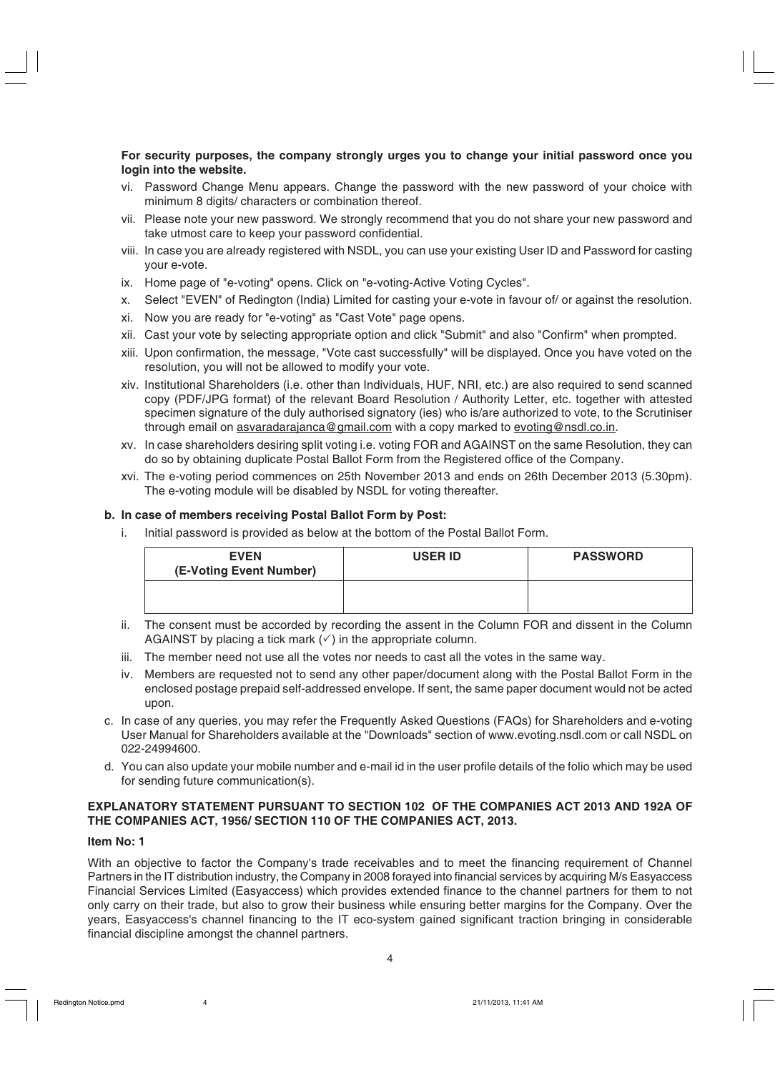#### **For security purposes, the company strongly urges you to change your initial password once you login into the website.**

- vi. Password Change Menu appears. Change the password with the new password of your choice with minimum 8 digits/ characters or combination thereof.
- vii. Please note your new password. We strongly recommend that you do not share your new password and take utmost care to keep your password confidential.
- viii. In case you are already registered with NSDL, you can use your existing User ID and Password for casting your e-vote.
- ix. Home page of "e-voting" opens. Click on "e-voting-Active Voting Cycles".
- x. Select "EVEN" of Redington (India) Limited for casting your e-vote in favour of/ or against the resolution.
- xi. Now you are ready for "e-voting" as "Cast Vote" page opens.
- xii. Cast your vote by selecting appropriate option and click "Submit" and also "Confirm" when prompted.
- xiii. Upon confirmation, the message, "Vote cast successfully" will be displayed. Once you have voted on the resolution, you will not be allowed to modify your vote.
- xiv. Institutional Shareholders (i.e. other than Individuals, HUF, NRI, etc.) are also required to send scanned copy (PDF/JPG format) of the relevant Board Resolution / Authority Letter, etc. together with attested specimen signature of the duly authorised signatory (ies) who is/are authorized to vote, to the Scrutiniser through email on asvaradarajanca@gmail.com with a copy marked to evoting@nsdl.co.in.
- xv. In case shareholders desiring split voting i.e. voting FOR and AGAINST on the same Resolution, they can do so by obtaining duplicate Postal Ballot Form from the Registered office of the Company.
- xvi. The e-voting period commences on 25th November 2013 and ends on 26th December 2013 (5.30pm). The e-voting module will be disabled by NSDL for voting thereafter.

# **b. In case of members receiving Postal Ballot Form by Post:**

i. Initial password is provided as below at the bottom of the Postal Ballot Form.

| <b>EVEN</b><br>(E-Voting Event Number) | <b>USER ID</b> | <b>PASSWORD</b> |
|----------------------------------------|----------------|-----------------|
|                                        |                |                 |

- ii. The consent must be accorded by recording the assent in the Column FOR and dissent in the Column AGAINST by placing a tick mark  $(\checkmark)$  in the appropriate column.
- iii. The member need not use all the votes nor needs to cast all the votes in the same way.
- iv. Members are requested not to send any other paper/document along with the Postal Ballot Form in the enclosed postage prepaid self-addressed envelope. If sent, the same paper document would not be acted upon.
- c. In case of any queries, you may refer the Frequently Asked Questions (FAQs) for Shareholders and e-voting User Manual for Shareholders available at the "Downloads" section of www.evoting.nsdl.com or call NSDL on 022-24994600.
- d. You can also update your mobile number and e-mail id in the user profile details of the folio which may be used for sending future communication(s).

# **EXPLANATORY STATEMENT PURSUANT TO SECTION 102 OF THE COMPANIES ACT 2013 AND 192A OF THE COMPANIES ACT, 1956/ SECTION 110 OF THE COMPANIES ACT, 2013.**

#### **Item No: 1**

With an objective to factor the Company's trade receivables and to meet the financing requirement of Channel Partners in the IT distribution industry, the Company in 2008 forayed into financial services by acquiring M/s Easyaccess Financial Services Limited (Easyaccess) which provides extended finance to the channel partners for them to not only carry on their trade, but also to grow their business while ensuring better margins for the Company. Over the years, Easyaccess's channel financing to the IT eco-system gained significant traction bringing in considerable financial discipline amongst the channel partners.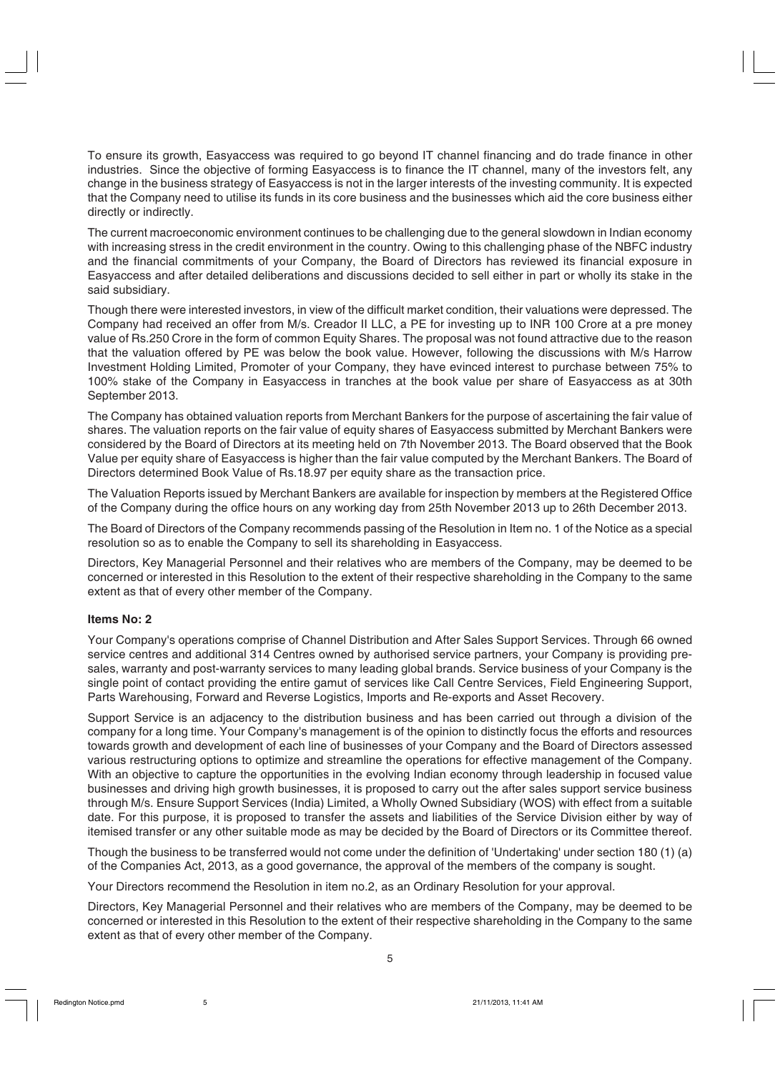To ensure its growth, Easyaccess was required to go beyond IT channel financing and do trade finance in other industries. Since the objective of forming Easyaccess is to finance the IT channel, many of the investors felt, any change in the business strategy of Easyaccess is not in the larger interests of the investing community. It is expected that the Company need to utilise its funds in its core business and the businesses which aid the core business either directly or indirectly.

The current macroeconomic environment continues to be challenging due to the general slowdown in Indian economy with increasing stress in the credit environment in the country. Owing to this challenging phase of the NBFC industry and the financial commitments of your Company, the Board of Directors has reviewed its financial exposure in Easyaccess and after detailed deliberations and discussions decided to sell either in part or wholly its stake in the said subsidiary.

Though there were interested investors, in view of the difficult market condition, their valuations were depressed. The Company had received an offer from M/s. Creador II LLC, a PE for investing up to INR 100 Crore at a pre money value of Rs.250 Crore in the form of common Equity Shares. The proposal was not found attractive due to the reason that the valuation offered by PE was below the book value. However, following the discussions with M/s Harrow Investment Holding Limited, Promoter of your Company, they have evinced interest to purchase between 75% to 100% stake of the Company in Easyaccess in tranches at the book value per share of Easyaccess as at 30th September 2013.

The Company has obtained valuation reports from Merchant Bankers for the purpose of ascertaining the fair value of shares. The valuation reports on the fair value of equity shares of Easyaccess submitted by Merchant Bankers were considered by the Board of Directors at its meeting held on 7th November 2013. The Board observed that the Book Value per equity share of Easyaccess is higher than the fair value computed by the Merchant Bankers. The Board of Directors determined Book Value of Rs.18.97 per equity share as the transaction price.

The Valuation Reports issued by Merchant Bankers are available for inspection by members at the Registered Office of the Company during the office hours on any working day from 25th November 2013 up to 26th December 2013.

The Board of Directors of the Company recommends passing of the Resolution in Item no. 1 of the Notice as a special resolution so as to enable the Company to sell its shareholding in Easyaccess.

Directors, Key Managerial Personnel and their relatives who are members of the Company, may be deemed to be concerned or interested in this Resolution to the extent of their respective shareholding in the Company to the same extent as that of every other member of the Company.

# **Items No: 2**

Your Company's operations comprise of Channel Distribution and After Sales Support Services. Through 66 owned service centres and additional 314 Centres owned by authorised service partners, your Company is providing presales, warranty and post-warranty services to many leading global brands. Service business of your Company is the single point of contact providing the entire gamut of services like Call Centre Services, Field Engineering Support, Parts Warehousing, Forward and Reverse Logistics, Imports and Re-exports and Asset Recovery.

Support Service is an adjacency to the distribution business and has been carried out through a division of the company for a long time. Your Company's management is of the opinion to distinctly focus the efforts and resources towards growth and development of each line of businesses of your Company and the Board of Directors assessed various restructuring options to optimize and streamline the operations for effective management of the Company. With an objective to capture the opportunities in the evolving Indian economy through leadership in focused value businesses and driving high growth businesses, it is proposed to carry out the after sales support service business through M/s. Ensure Support Services (India) Limited, a Wholly Owned Subsidiary (WOS) with effect from a suitable date. For this purpose, it is proposed to transfer the assets and liabilities of the Service Division either by way of itemised transfer or any other suitable mode as may be decided by the Board of Directors or its Committee thereof.

Though the business to be transferred would not come under the definition of 'Undertaking' under section 180 (1) (a) of the Companies Act, 2013, as a good governance, the approval of the members of the company is sought.

Your Directors recommend the Resolution in item no.2, as an Ordinary Resolution for your approval.

Directors, Key Managerial Personnel and their relatives who are members of the Company, may be deemed to be concerned or interested in this Resolution to the extent of their respective shareholding in the Company to the same extent as that of every other member of the Company.